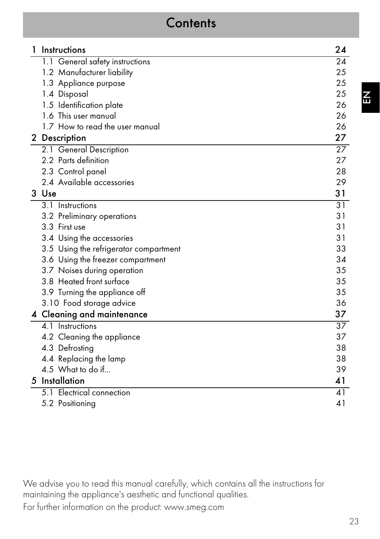# **Contents**

| Instructions                           | 24              |
|----------------------------------------|-----------------|
| 1.1 General safety instructions        | 24              |
| 1.2 Manufacturer liability             | 25              |
| 1.3 Appliance purpose                  | 25              |
| 1.4 Disposal                           | 25              |
| 1.5 Identification plate               | 26              |
| 1.6 This user manual                   | 26              |
| 1.7 How to read the user manual        | 26              |
| 2 Description                          | 27              |
| 2.1 General Description                | $\overline{27}$ |
| 2.2 Parts definition                   | 27              |
| 2.3 Control panel                      | 28              |
| 2.4 Available accessories              | 29              |
| 3 Use                                  | 31              |
| 3.1 Instructions                       | 31              |
| 3.2 Preliminary operations             | 31              |
| 3.3 First use                          | 31              |
| 3.4 Using the accessories              | 31              |
| 3.5 Using the refrigerator compartment | 33              |
| 3.6 Using the freezer compartment      | 34              |
| 3.7 Noises during operation            | 35              |
| 3.8 Heated front surface               | 35              |
| 3.9 Turning the appliance off          | 35              |
| 3.10 Food storage advice               | 36              |
| 4 Cleaning and maintenance             | 37              |
| 4.1 Instructions                       | $\overline{37}$ |
| 4.2 Cleaning the appliance             | 37              |
| 4.3 Defrosting                         | 38              |
| 4.4 Replacing the lamp                 | 38              |
| 4.5 What to do if                      | 39              |
| 5 Installation                         | 41              |
| 5.1 Electrical connection              | 41              |
| 5.2 Positioning                        | 41              |

We advise you to read this manual carefully, which contains all the instructions for maintaining the appliance's aesthetic and functional qualities.

For further information on the product: www.smeg.com

23

 $\boldsymbol{\tilde{\text{}}}% (\boldsymbol{r})$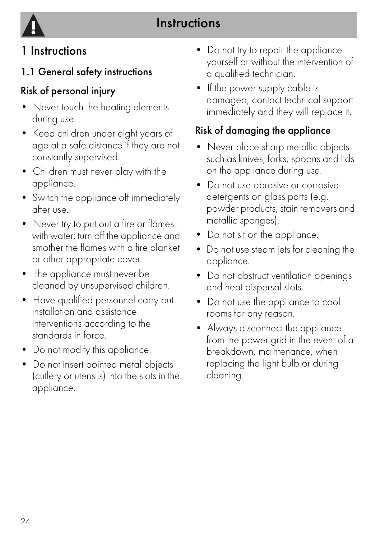

# 1 Instructions

## 1.1 General safety instructions

# Risk of personal injury

- Never touch the heating elements during use.
- Keep children under eight years of age at a safe distance if they are not constantly supervised.
- Children must never play with the appliance.
- Switch the appliance off immediately after use.
- Never try to put out a fire or flames with water: turn off the appliance and smother the flames with a fire blanket or other appropriate cover.
- The appliance must never be cleaned by unsupervised children.
- Have qualified personnel carry out installation and assistance interventions according to the standards in force.
- Do not modify this appliance.
- Do not insert pointed metal objects (cutlery or utensils) into the slots in the appliance.
- Do not try to repair the appliance yourself or without the intervention of a qualified technician.
- If the power supply cable is damaged, contact technical support immediately and they will replace it.

### Risk of damaging the appliance

- Never place sharp metallic objects such as knives, forks, spoons and lids on the appliance during use.
- Do not use abrasive or corrosive detergents on glass parts (e.g. powder products, stain removers and metallic sponges).
- Do not sit on the appliance.
- Do not use steam jets for cleaning the appliance.
- Do not obstruct ventilation openings and heat dispersal slots.
- Do not use the appliance to cool rooms for any reason.
- Always disconnect the appliance from the power grid in the event of a breakdown, maintenance, when replacing the light bulb or during cleaning.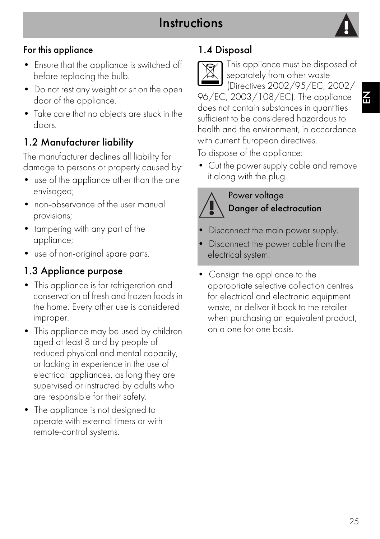# **Instructions**



#### For this appliance

- Ensure that the appliance is switched off before replacing the bulb.
- Do not rest any weight or sit on the open door of the appliance.
- Take care that no objects are stuck in the doors.

### 1.2 Manufacturer liability

The manufacturer declines all liability for damage to persons or property caused by:

- use of the appliance other than the one envisaged;
- non-observance of the user manual provisions;
- tampering with any part of the appliance;
- use of non-original spare parts.

### 1.3 Appliance purpose

- This appliance is for refrigeration and conservation of fresh and frozen foods in the home. Every other use is considered improper.
- This appliance may be used by children aged at least 8 and by people of reduced physical and mental capacity, or lacking in experience in the use of electrical appliances, as long they are supervised or instructed by adults who are responsible for their safety.
- The appliance is not designed to operate with external timers or with remote-control systems.

### 1.4 Disposal

This appliance must be disposed of separately from other waste (Directives 2002/95/EC, 2002/ 96/EC, 2003/108/EC). The appliance does not contain substances in quantities sufficient to be considered hazardous to

health and the environment, in accordance with current European directives.

To dispose of the appliance:

• Cut the power supply cable and remove it along with the plug.

### Power voltage Danger of electrocution

- Disconnect the main power supply.
- Disconnect the power cable from the electrical system.
- Consign the appliance to the appropriate selective collection centres for electrical and electronic equipment waste, or deliver it back to the retailer when purchasing an equivalent product, on a one for one basis.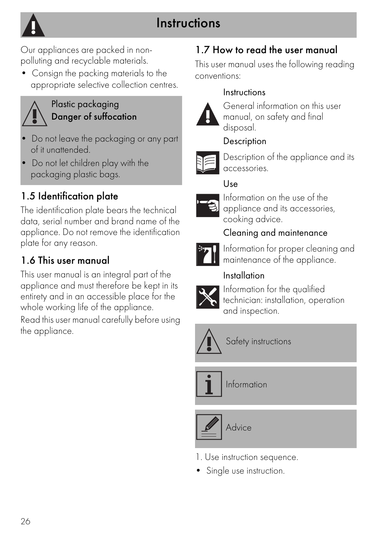# **Instructions**



Our appliances are packed in nonpolluting and recyclable materials.

• Consign the packing materials to the appropriate selective collection centres.



#### Plastic packaging Danger of suffocation

- Do not leave the packaging or any part of it unattended.
- Do not let children play with the packaging plastic bags.

## 1.5 Identification plate

The identification plate bears the technical data, serial number and brand name of the appliance. Do not remove the identification plate for any reason.

### 1.6 This user manual

This user manual is an integral part of the appliance and must therefore be kept in its entirety and in an accessible place for the whole working life of the appliance.

Read this user manual carefully before using the appliance.

### 1.7 How to read the user manual

This user manual uses the following reading conventions:

#### Instructions



General information on this user manual, on safety and final disposal.

#### **Description**



Description of the appliance and its accessories.

### Use



Information on the use of the appliance and its accessories, cooking advice.

### Cleaning and maintenance



Information for proper cleaning and maintenance of the appliance.

### Installation



Information for the qualified technician: installation, operation and inspection.



Safety instructions



Information



- 1. Use instruction sequence.
- Single use instruction.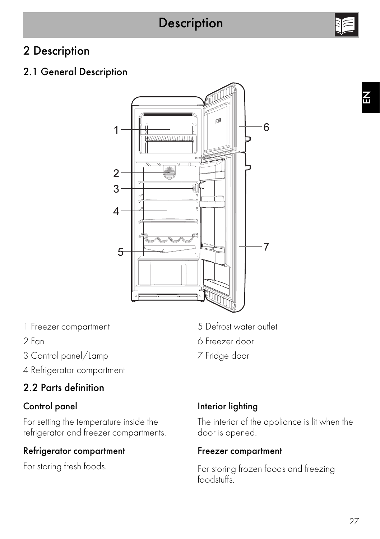### 2.1 General Description



- 1 Freezer compartment
- 2 Fan
- 3 Control panel/Lamp
- 4 Refrigerator compartment

### 2.2 Parts definition

#### Control panel

For setting the temperature inside the refrigerator and freezer compartments.

#### Refrigerator compartment

For storing fresh foods.

- 5 Defrost water outlet
- 6 Freezer door
- 7 Fridge door

#### Interior lighting

The interior of the appliance is lit when the door is opened.

#### Freezer compartment

For storing frozen foods and freezing foodstuffs.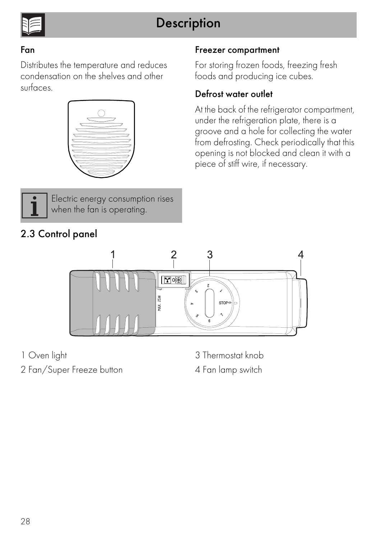

#### Fan

Distributes the temperature and reduces condensation on the shelves and other surfaces.





Electric energy consumption rises when the fan is operating.

### 2.3 Control panel

#### Freezer compartment

For storing frozen foods, freezing fresh foods and producing ice cubes.

#### Defrost water outlet

At the back of the refrigerator compartment, under the refrigeration plate, there is a groove and a hole for collecting the water from defrosting. Check periodically that this opening is not blocked and clean it with a piece of stiff wire, if necessary.



1 Oven light

2 Fan/Super Freeze button

3 Thermostat knob 4 Fan lamp switch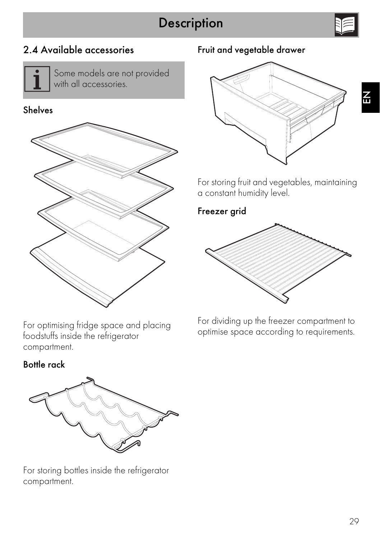

 $\overline{\mathbf{r}}$ 

### 2.4 Available accessories



Some models are not provided with all accessories.

#### Shelves



#### Fruit and vegetable drawer



For storing fruit and vegetables, maintaining a constant humidity level.

#### Freezer grid



For optimising fridge space and placing foodstuffs inside the refrigerator compartment.

Bottle rack



For storing bottles inside the refrigerator compartment.

For dividing up the freezer compartment to optimise space according to requirements.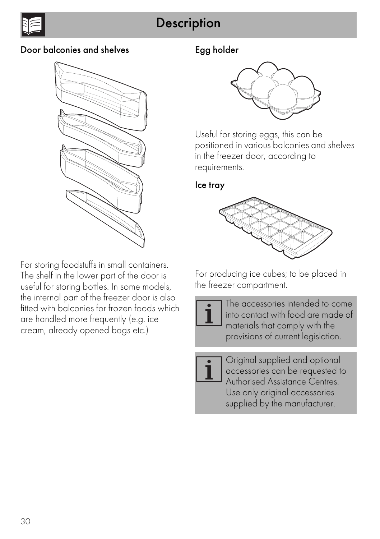

#### Door balconies and shelves



For storing foodstuffs in small containers. The shelf in the lower part of the door is useful for storing bottles. In some models, the internal part of the freezer door is also fitted with balconies for frozen foods which are handled more frequently (e.g. ice cream, already opened bags etc.)

#### Egg holder



Useful for storing eggs, this can be positioned in various balconies and shelves in the freezer door, according to requirements.

#### Ice tray



For producing ice cubes; to be placed in the freezer compartment.

> The accessories intended to come into contact with food are made of materials that comply with the provisions of current legislation.

Original supplied and optional accessories can be requested to Authorised Assistance Centres. Use only original accessories supplied by the manufacturer.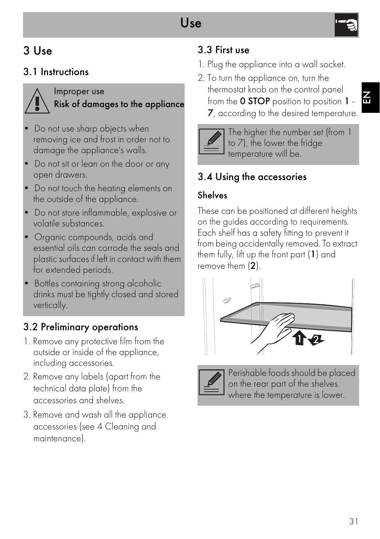# 3 Use

### 3.1 Instructions



Improper use Risk of damages to the appliance

- Do not use sharp objects when removing ice and frost in order not to damage the appliance's walls.
- Do not sit or lean on the door or any open drawers.
- Do not touch the heating elements on the outside of the appliance.
- Do not store inflammable, explosive or volatile substances.
- Organic compounds, acids and essential oils can corrode the seals and plastic surfaces if left in contact with them for extended periods.
- Bottles containing strong alcoholic drinks must be tightly closed and stored vertically.

### 3.2 Preliminary operations

- 1. Remove any protective film from the outside or inside of the appliance, including accessories.
- 2. Remove any labels (apart from the technical data plate) from the accessories and shelves.
- 3. Remove and wash all the appliance accessories (see [4 Cleaning and](#page-14-0)  [maintenance\)](#page-14-0).

### 3.3 First use

- 1. Plug the appliance into a wall socket.
- 2. To turn the appliance on, turn the thermostat knob on the control panel from the 0 STOP position to position 1 - 7, according to the desired temperature.



The higher the number set (from 1 to 7), the lower the fridge temperature will be.

## 3.4 Using the accessories

### Shelves

These can be positioned at different heights on the guides according to requirements. Each shelf has a safety fitting to prevent it from being accidentally removed. To extract them fully, lift up the front part (1) and remove them (2).





Perishable foods should be placed on the rear part of the shelves where the temperature is lower.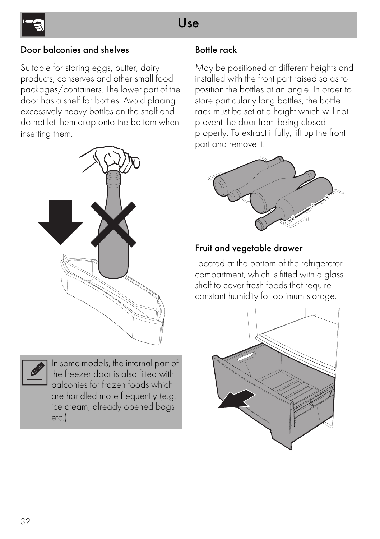# Use



#### Door balconies and shelves

Suitable for storing eggs, butter, dairy products, conserves and other small food packages/containers. The lower part of the door has a shelf for bottles. Avoid placing excessively heavy bottles on the shelf and do not let them drop onto the bottom when inserting them.





In some models, the internal part of the freezer door is also fitted with balconies for frozen foods which are handled more frequently (e.g. ice cream, already opened bags etc.)

#### Bottle rack

May be positioned at different heights and installed with the front part raised so as to position the bottles at an angle. In order to store particularly long bottles, the bottle rack must be set at a height which will not prevent the door from being closed properly. To extract it fully, lift up the front part and remove it.



#### Fruit and vegetable drawer

Located at the bottom of the refrigerator compartment, which is fitted with a glass shelf to cover fresh foods that require constant humidity for optimum storage.

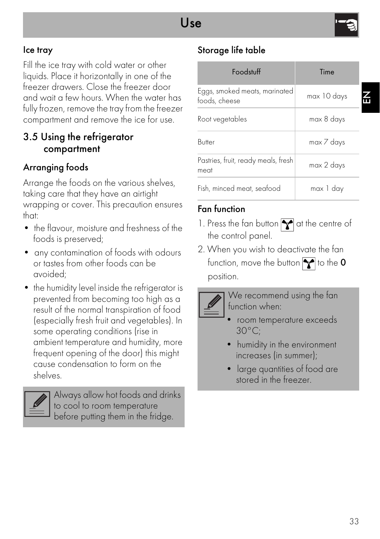#### Ice tray

Fill the ice tray with cold water or other liquids. Place it horizontally in one of the freezer drawers. Close the freezer door and wait a few hours. When the water has fully frozen, remove the tray from the freezer compartment and remove the ice for use.

#### 3.5 Using the refrigerator compartment

#### Arranging foods

Arrange the foods on the various shelves, taking care that they have an airtight wrapping or cover. This precaution ensures that:

- the flavour, moisture and freshness of the foods is preserved;
- any contamination of foods with odours or tastes from other foods can be avoided;
- the humidity level inside the refrigerator is prevented from becoming too high as a result of the normal transpiration of food (especially fresh fruit and vegetables). In some operating conditions (rise in ambient temperature and humidity, more frequent opening of the door) this might cause condensation to form on the shelves.



Always allow hot foods and drinks to cool to room temperature before putting them in the fridge.

### Storage life table

| <b>Foodstuff</b>                               | Time        |  |
|------------------------------------------------|-------------|--|
| Eggs, smoked meats, marinated<br>foods, cheese | max 10 days |  |
| Root vegetables                                | max 8 days  |  |
| Butter                                         | max 7 days  |  |
| Pastries, fruit, ready meals, fresh<br>meat    | max 2 days  |  |
| Fish, minced meat, seafood                     | max 1 dav   |  |

#### Fan function

- 1. Press the fan button  $\sum$  at the centre of the control panel.
- 2. When you wish to deactivate the fan function, move the button  $\blacktriangleright$  to the 0 position.



We recommend using the fan function when:

- room temperature exceeds 30°C;
- humidity in the environment increases (in summer);
- large quantities of food are stored in the freezer.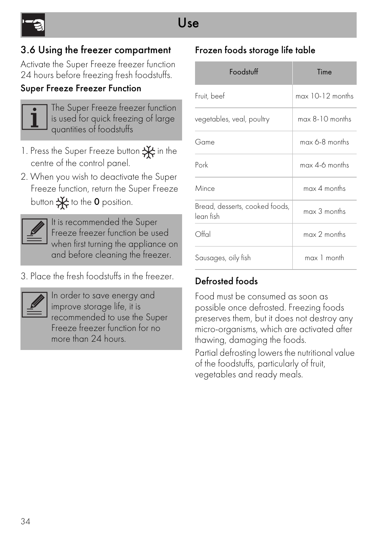### 3.6 Using the freezer compartment

Activate the Super Freeze freezer function 24 hours before freezing fresh foodstuffs.

#### Super Freeze Freezer Function



The Super Freeze freezer function is used for quick freezing of large quantities of foodstuffs

- 1. Press the Super Freeze button  $\frac{1}{1}$  in the centre of the control panel.
- 2. When you wish to deactivate the Super Freeze function, return the Super Freeze button  $\frac{1}{2}$  to the 0 position.



It is recommended the Super Freeze freezer function be used when first turning the appliance on and before cleaning the freezer.

3. Place the fresh foodstuffs in the freezer.



In order to save energy and improve storage life, it is recommended to use the Super Freeze freezer function for no more than 24 hours.

### Frozen foods storage life table

| Foodstuff                                   | Time               |
|---------------------------------------------|--------------------|
| Fruit, beef                                 | $max$ 10-12 months |
| vegetables, veal, poultry                   | max 8-10 months    |
| Game                                        | $max$ 6-8 months   |
| Pork                                        | $max$ 4-6 months   |
| Mince                                       | $max 4$ months     |
| Bread, desserts, cooked foods,<br>lean fish | $max 3$ months     |
| Offal                                       | $max 2$ months     |
| Sausages, oily fish                         | max 1 month        |

### Defrosted foods

Food must be consumed as soon as possible once defrosted. Freezing foods preserves them, but it does not destroy any micro-organisms, which are activated after thawing, damaging the foods.

Partial defrosting lowers the nutritional value of the foodstuffs, particularly of fruit, vegetables and ready meals.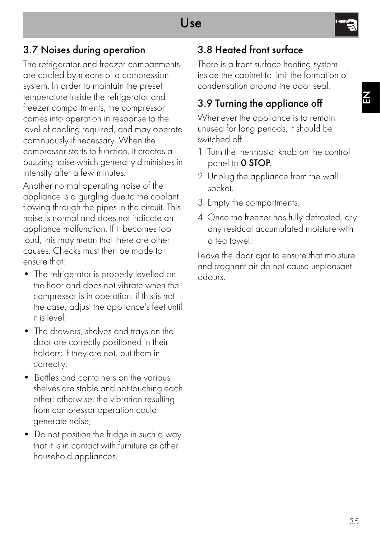# Use

叾

### 3.7 Noises during operation

The refrigerator and freezer compartments are cooled by means of a compression system. In order to maintain the preset temperature inside the refrigerator and freezer compartments, the compressor comes into operation in response to the level of cooling required, and may operate continuously if necessary. When the compressor starts to function, it creates a buzzing noise which generally diminishes in intensity after a few minutes.

Another normal operating noise of the appliance is a gurgling due to the coolant flowing through the pipes in the circuit. This noise is normal and does not indicate an appliance malfunction. If it becomes too loud, this may mean that there are other causes. Checks must then be made to ensure that:

- The refrigerator is properly levelled on the floor and does not vibrate when the compressor is in operation: if this is not the case, adjust the appliance's feet until it is level;
- The drawers, shelves and trays on the door are correctly positioned in their holders: if they are not, put them in correctly;
- Bottles and containers on the various shelves are stable and not touching each other: otherwise, the vibration resulting from compressor operation could generate noise;
- Do not position the fridge in such a way that it is in contact with furniture or other household appliances.

### 3.8 Heated front surface

There is a front surface heating system inside the cabinet to limit the formation of condensation around the door seal.

### 3.9 Turning the appliance off

Whenever the appliance is to remain unused for long periods, it should be switched off.

- 1. Turn the thermostat knob on the control panel to 0 STOP.
- 2. Unplug the appliance from the wall socket.
- 3. Empty the compartments.
- 4. Once the freezer has fully defrosted, dry any residual accumulated moisture with a tea towel.

Leave the door ajar to ensure that moisture and stagnant air do not cause unpleasant odours.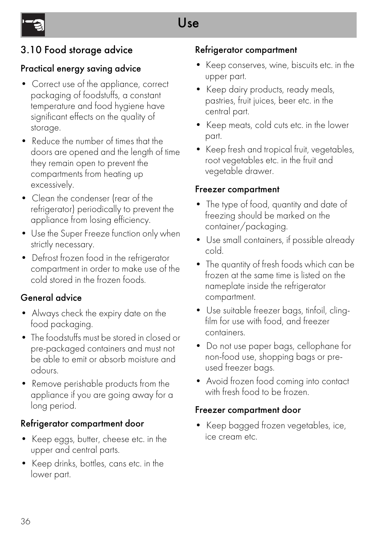### 3.10 Food storage advice

#### Practical energy saving advice

- Correct use of the appliance, correct packaging of foodstuffs, a constant temperature and food hygiene have significant effects on the quality of storage.
- Reduce the number of times that the doors are opened and the length of time they remain open to prevent the compartments from heating up excessively.
- Clean the condenser (rear of the refrigerator) periodically to prevent the appliance from losing efficiency.
- Use the Super Freeze function only when strictly necessary.
- Defrost frozen food in the refrigerator compartment in order to make use of the cold stored in the frozen foods.

#### General advice

- Always check the expiry date on the food packaging.
- The foodstuffs must be stored in closed or pre-packaged containers and must not be able to emit or absorb moisture and odours.
- Remove perishable products from the appliance if you are going away for a long period.

#### Refrigerator compartment door

- Keep eggs, butter, cheese etc. in the upper and central parts.
- Keep drinks, bottles, cans etc. in the lower part.

#### Refrigerator compartment

- Keep conserves, wine, biscuits etc. in the upper part.
- Keep dairy products, ready meals, pastries, fruit juices, beer etc. in the central part.
- Keep meats, cold cuts etc. in the lower part.
- Keep fresh and tropical fruit, vegetables, root vegetables etc. in the fruit and vegetable drawer.

#### Freezer compartment

- The type of food, quantity and date of freezing should be marked on the container/packaging.
- Use small containers, if possible already cold.
- The quantity of fresh foods which can be frozen at the same time is listed on the nameplate inside the refrigerator compartment.
- Use suitable freezer bags, tinfoil, clingfilm for use with food, and freezer containers.
- Do not use paper bags, cellophane for non-food use, shopping bags or preused freezer bags.
- Avoid frozen food coming into contact with fresh food to be frozen.

#### Freezer compartment door

• Keep bagged frozen vegetables, ice, ice cream etc.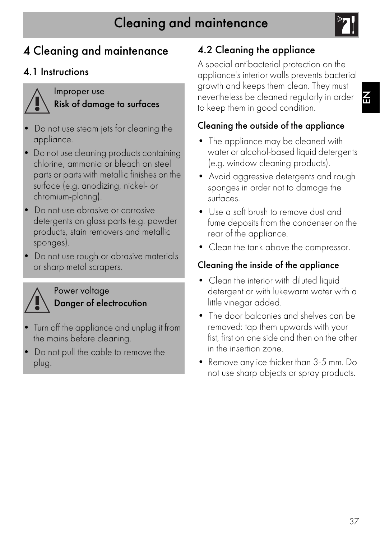

# <span id="page-14-0"></span>4 Cleaning and maintenance

### 4.1 Instructions



Improper use Risk of damage to surfaces

- Do not use steam jets for cleaning the appliance.
- Do not use cleaning products containing chlorine, ammonia or bleach on steel parts or parts with metallic finishes on the surface (e.g. anodizing, nickel- or chromium-plating).
- Do not use abrasive or corrosive detergents on glass parts (e.g. powder products, stain removers and metallic sponges).
- Do not use rough or abrasive materials or sharp metal scrapers.



#### Power voltage Danger of electrocution

- Turn off the appliance and unplug it from the mains before cleaning.
- Do not pull the cable to remove the plug.

# 4.2 Cleaning the appliance

A special antibacterial protection on the appliance's interior walls prevents bacterial growth and keeps them clean. They must nevertheless be cleaned regularly in order to keep them in good condition.

### Cleaning the outside of the appliance

- The appliance may be cleaned with water or alcohol-based liquid detergents (e.g. window cleaning products).
- Avoid aggressive detergents and rough sponges in order not to damage the surfaces.
- Use a soft brush to remove dust and fume deposits from the condenser on the rear of the appliance.
- Clean the tank above the compressor.

### Cleaning the inside of the appliance

- Clean the interior with diluted liquid detergent or with lukewarm water with a little vinegar added.
- The door balconies and shelves can be removed: tap them upwards with your fist, first on one side and then on the other in the insertion zone.
- Remove any ice thicker than 3-5 mm. Do not use sharp objects or spray products.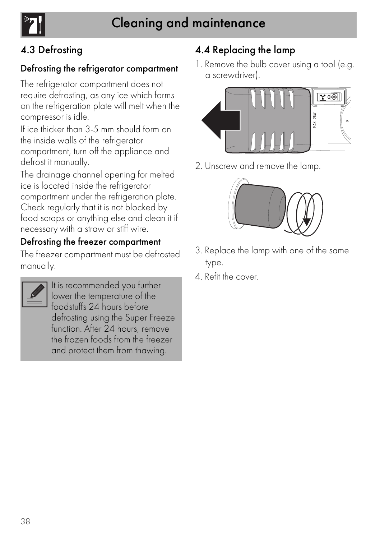### 4.3 Defrosting

#### Defrosting the refrigerator compartment

The refrigerator compartment does not require defrosting, as any ice which forms on the refrigeration plate will melt when the compressor is idle.

If ice thicker than 3-5 mm should form on the inside walls of the refrigerator compartment, turn off the appliance and defrost it manually.

The drainage channel opening for melted ice is located inside the refrigerator compartment under the refrigeration plate. Check regularly that it is not blocked by food scraps or anything else and clean it if necessary with a straw or stiff wire.

#### Defrosting the freezer compartment

The freezer compartment must be defrosted manually.

It is recommended you further lower the temperature of the foodstuffs 24 hours before defrosting using the Super Freeze function. After 24 hours, remove the frozen foods from the freezer and protect them from thawing.

### 4.4 Replacing the lamp

1. Remove the bulb cover using a tool (e.g. a screwdriver).



2. Unscrew and remove the lamp.



- 3. Replace the lamp with one of the same type.
- 4. Refit the cover.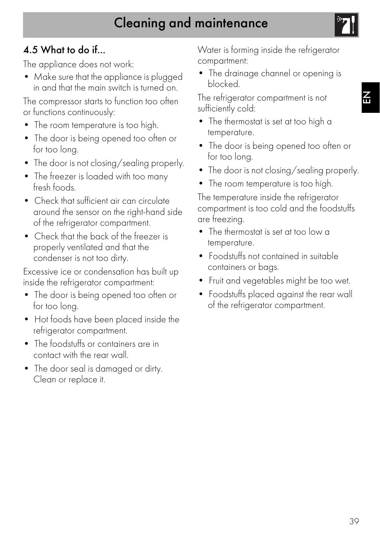# Cleaning and maintenance

### 4.5 What to do if...

The appliance does not work:

• Make sure that the appliance is plugged in and that the main switch is turned on.

The compressor starts to function too often or functions continuously:

- The room temperature is too high.
- The door is being opened too often or for too long.
- The door is not closing/sealing properly.
- The freezer is loaded with too many fresh foods.
- Check that sufficient air can circulate around the sensor on the right-hand side of the refrigerator compartment.
- Check that the back of the freezer is properly ventilated and that the condenser is not too dirty.

Excessive ice or condensation has built up inside the refrigerator compartment:

- The door is being opened too often or for too long.
- Hot foods have been placed inside the refrigerator compartment.
- The foodstuffs or containers are in contact with the rear wall.
- The door seal is damaged or dirty. Clean or replace it.

Water is forming inside the refrigerator compartment:

• The drainage channel or opening is blocked.

The refrigerator compartment is not sufficiently cold:

- The thermostat is set at too high a temperature.
- The door is being opened too often or for too long.
- The door is not closing/sealing properly.
- The room temperature is too high.

The temperature inside the refrigerator compartment is too cold and the foodstuffs are freezing.

- The thermostat is set at too low a temperature.
- Foodstuffs not contained in suitable containers or bags.
- Fruit and vegetables might be too wet.
- Foodstuffs placed against the rear wall of the refrigerator compartment.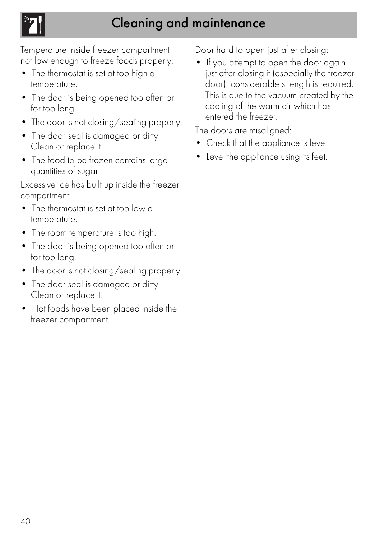# Cleaning and maintenance

Temperature inside freezer compartment not low enough to freeze foods properly:

- The thermostat is set at too high a temperature.
- The door is being opened too often or for too long.
- The door is not closing/sealing properly.
- The door seal is damaged or dirty. Clean or replace it.
- The food to be frozen contains large quantities of sugar.

Excessive ice has built up inside the freezer compartment:

- The thermostat is set at too low a temperature.
- The room temperature is too high.
- The door is being opened too often or for too long.
- The door is not closing/sealing properly.
- The door seal is damaged or dirty. Clean or replace it.
- Hot foods have been placed inside the freezer compartment.

Door hard to open just after closing:

• If you attempt to open the door again just after closing it (especially the freezer door), considerable strength is required. This is due to the vacuum created by the cooling of the warm air which has entered the freezer.

The doors are misaligned:

- Check that the appliance is level.
- Level the appliance using its feet.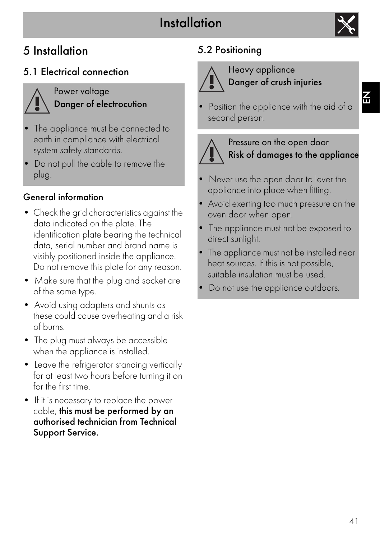# Installation



# 5 Installation

### 5.1 Electrical connection



Power voltage Danger of electrocution

- The appliance must be connected to earth in compliance with electrical system safety standards.
- Do not pull the cable to remove the plug.

### General information

- Check the grid characteristics against the data indicated on the plate. The identification plate bearing the technical data, serial number and brand name is visibly positioned inside the appliance. Do not remove this plate for any reason.
- Make sure that the plug and socket are of the same type.
- Avoid using adapters and shunts as these could cause overheating and a risk of burns.
- The plug must always be accessible when the appliance is installed.
- Leave the refrigerator standing vertically for at least two hours before turning it on for the first time.
- If it is necessary to replace the power cable, this must be performed by an authorised technician from Technical Support Service.

# 5.2 Positioning



#### Heavy appliance Danger of crush injuries

Position the appliance with the aid of a second person.



#### Pressure on the open door Risk of damages to the appliance

- Never use the open door to lever the appliance into place when fitting.
- Avoid exerting too much pressure on the oven door when open.
- The appliance must not be exposed to direct sunlight.
- The appliance must not be installed near heat sources. If this is not possible, suitable insulation must be used.
- Do not use the appliance outdoors.